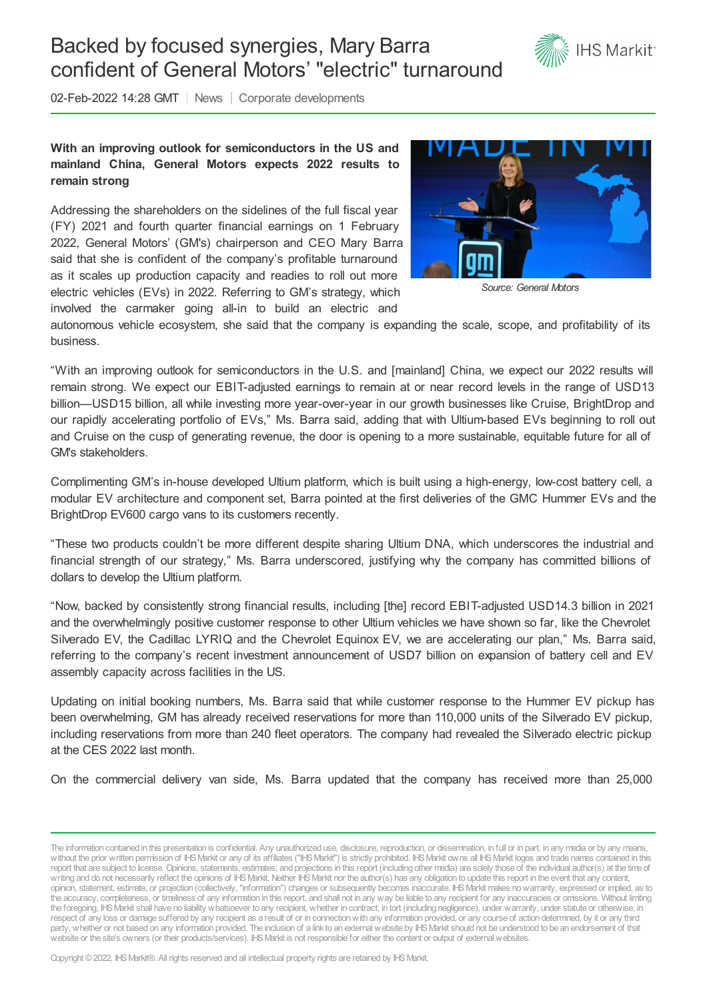## Backed by focused synergies, Mary Barra confident of General Motors' "electric" turnaround



02-Feb-2022 14:28 GMT | News | Corporate developments

## **With an improving outlook for semiconductors in the US and mainland China, General Motors expects 2022 results to remain strong**

Addressing the shareholders on the sidelines of the full fiscal year (FY) 2021 and fourth quarter financial earnings on 1 February 2022, General Motors' (GM's) chairperson and CEO Mary Barra said that she is confident of the company's profitable turnaround as it scales up production capacity and readies to roll out more electric vehicles (EVs) in 2022. Referring to GM's strategy, which involved the carmaker going all-in to build an electric and



*Source: General Motors*

autonomous vehicle ecosystem, she said that the company is expanding the scale, scope, and profitability of its business.

"With an improving outlook for semiconductors in the U.S. and [mainland] China, we expect our 2022 results will remain strong. We expect our EBIT-adjusted earnings to remain at or near record levels in the range of USD13 billion—USD15 billion, all while investing more year-over-year in our growth businesses like Cruise, BrightDrop and our rapidly accelerating portfolio of EVs," Ms. Barra said, adding that with Ultium-based EVs beginning to roll out and Cruise on the cusp of generating revenue, the door is opening to a more sustainable, equitable future for all of GM's stakeholders.

Complimenting GM's in-house developed Ultium platform, which is built using a high-energy, low-cost battery cell, a modular EV architecture and component set, Barra pointed at the first deliveries of the GMC Hummer EVs and the BrightDrop EV600 cargo vans to its customers recently.

"These two products couldn't be more different despite sharing Ultium DNA, which underscores the industrial and financial strength of our strategy," Ms. Barra underscored, justifying why the company has committed billions of dollars to develop the Ultium platform.

"Now, backed by consistently strong financial results, including [the] record EBIT-adjusted USD14.3 billion in 2021 and the overwhelmingly positive customer response to other Ultium vehicles we have shown so far, like the Chevrolet Silverado EV, the Cadillac LYRIQ and the Chevrolet Equinox EV, we are accelerating our plan," Ms. Barra said, referring to the company's recent investment announcement of USD7 billion on expansion of battery cell and EV assembly capacity across facilities in the US.

Updating on initial booking numbers, Ms. Barra said that while customer response to the Hummer EV pickup has been overwhelming, GM has already received reservations for more than 110,000 units of the Silverado EV pickup, including reservations from more than 240 fleet operators. The company had revealed the Silverado electric pickup at the CES 2022 last month.

On the commercial delivery van side, Ms. Barra updated that the company has received more than 25,000

Copyright © 2022, IHS Markit®. All rights reserved and all intellectual property rights are retained by IHS Markit.

The information contained in this presentation is confidential. Any unauthorized use, disclosure, reproduction, or dissemination, in full or in part, in any media or by any means, without the prior written permission of IHS Markit or any of its affiliates ("IHS Markit") is strictly prohibited. IHS Markit owns all IHS Markit logos and trade names contained in this report that are subject to license. Opinions, statements, estimates, and projections in this report (including other media) are solely those of the individual author(s) at the time of writing and do not necessarily reflect the opinions of IHS Markit. Neither IHS Markit nor the author(s) has any obligation to update this report in the event that any content, opinion, statement, estimate, or projection (collectively, "information") changes or subsequently becomes inaccurate. IHSMarkit makes nowarranty, expressed or implied, as to the accuracy, completeness, or timeliness of any information in this report, and shall not in any way be liable to any recipient for any inaccuracies or omissions. Without limiting the foregoing, IHSMarkit shall have no liability whatsoever to any recipient, whether in contract, in tort (including negligence), under warranty, under statute or otherwise, in respect of any loss or damage suffered by any recipient as a result of or in connectionwith any information provided, or any course of action determined, by it or any third party, whether or not based on any information provided. The inclusion of a link to an external website by IHS Markit should not be understood to be an endorsement of that website or the site's owners (or their products/services). IHS Markit is not responsible for either the content or output of external websites.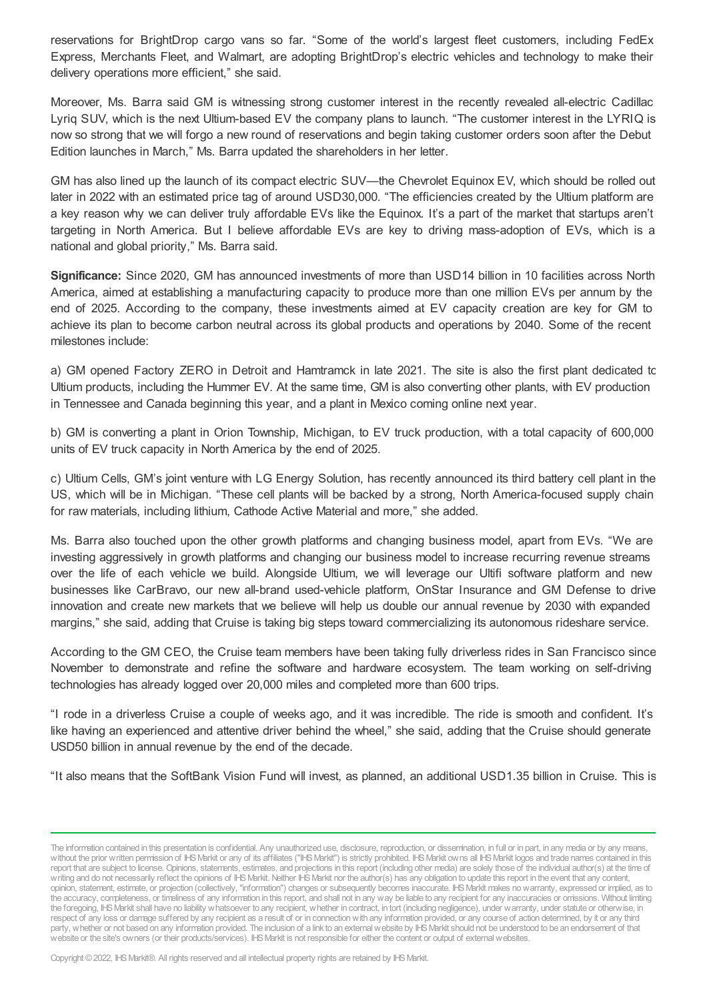reservations for BrightDrop cargo vans so far. "Some of the world's largest fleet customers, including FedEx Express, Merchants Fleet, and Walmart, are adopting BrightDrop's electric vehicles and technology to make their delivery operations more efficient," she said.

Moreover, Ms. Barra said GM is witnessing strong customer interest in the recently revealed all-electric Cadillac Lyriq SUV, which is the next Ultium-based EV the company plans to launch. "The customer interest in the LYRIQ is now so strong that we will forgo a new round of reservations and begin taking customer orders soon after the Debut Edition launches in March," Ms. Barra updated the shareholders in her letter.

GM has also lined up the launch of its compact electric SUV—the Chevrolet Equinox EV, which should be rolled out later in 2022 with an estimated price tag of around USD30,000. "The efficiencies created by the Ultium platform are a key reason why we can deliver truly affordable EVs like the Equinox. It's a part of the market that startups aren't targeting in North America. But I believe affordable EVs are key to driving mass-adoption of EVs, which is a national and global priority," Ms. Barra said.

**Significance:** Since 2020, GM has announced investments of more than USD14 billion in 10 facilities across North America, aimed at establishing a manufacturing capacity to produce more than one million EVs per annum by the end of 2025. According to the company, these investments aimed at EV capacity creation are key for GM to achieve its plan to become carbon neutral across its global products and operations by 2040. Some of the recent milestones include:

a) GM opened Factory ZERO in Detroit and Hamtramck in late 2021. The site is also the first plant dedicated to Ultium products, including the Hummer EV. At the same time, GM is also converting other plants, with EV production in Tennessee and Canada beginning this year, and a plant in Mexico coming online next year.

b) GM is converting a plant in Orion Township, Michigan, to EV truck production, with a total capacity of 600,000 units of EV truck capacity in North America by the end of 2025.

c) Ultium Cells, GM's joint venture with LG Energy Solution, has recently announced its third battery cell plant in the US, which will be in Michigan. "These cell plants will be backed by a strong, North America-focused supply chain for raw materials, including lithium, Cathode Active Material and more," she added.

Ms. Barra also touched upon the other growth platforms and changing business model, apart from EVs. "We are investing aggressively in growth platforms and changing our business model to increase recurring revenue streams over the life of each vehicle we build. Alongside Ultium, we will leverage our Ultifi software platform and new businesses like CarBravo, our new all-brand used-vehicle platform, OnStar Insurance and GM Defense to drive innovation and create new markets that we believe will help us double our annual revenue by 2030 with expanded margins," she said, adding that Cruise is taking big steps toward commercializing its autonomous rideshare service.

According to the GM CEO, the Cruise team members have been taking fully driverless rides in San Francisco since November to demonstrate and refine the software and hardware ecosystem. The team working on self-driving technologies has already logged over 20,000 miles and completed more than 600 trips.

"I rode in a driverless Cruise a couple of weeks ago, and it was incredible. The ride is smooth and confident. It's like having an experienced and attentive driver behind the wheel," she said, adding that the Cruise should generate USD50 billion in annual revenue by the end of the decade.

"It also means that the SoftBank Vision Fund will invest, as planned, an additional USD1.35 billion in Cruise. This is

Copyright © 2022, IHS Markit®. All rights reserved and all intellectual property rights are retained by IHS Markit.

The information contained in this presentation is confidential. Any unauthorized use, disclosure, reproduction, or dissemination, in full or in part, in any media or by any means, without the prior written permission of IHS Markit or any of its affiliates ("IHS Markit") is strictly prohibited. IHS Markit owns all IHS Markit logos and trade names contained in this report that are subject to license. Opinions, statements, estimates, and projections in this report (including other media) are solely those of the individual author(s) at the time of writing and do not necessarily reflect the opinions of IHS Markit. Neither IHS Markit nor the author(s) has any obligation to update this report in the event that any content, opinion, statement, estimate, or projection (collectively, "information") changes or subsequently becomes inaccurate. IHSMarkit makes nowarranty, expressed or implied, as to the accuracy, completeness, or timeliness of any information in this report, and shall not in any way be liable to any recipient for any inaccuracies or omissions. Without limiting the foregoing, IHSMarkit shall have no liability whatsoever to any recipient, whether in contract, in tort (including negligence), under warranty, under statute or otherwise, in respect of any loss or damage suffered by any recipient as a result of or in connectionwith any information provided, or any course of action determined, by it or any third party, whether or not based on any information provided. The inclusion of a link to an external website by IHS Markit should not be understood to be an endorsement of that website or the site's owners (or their products/services). IHS Markit is not responsible for either the content or output of external websites.